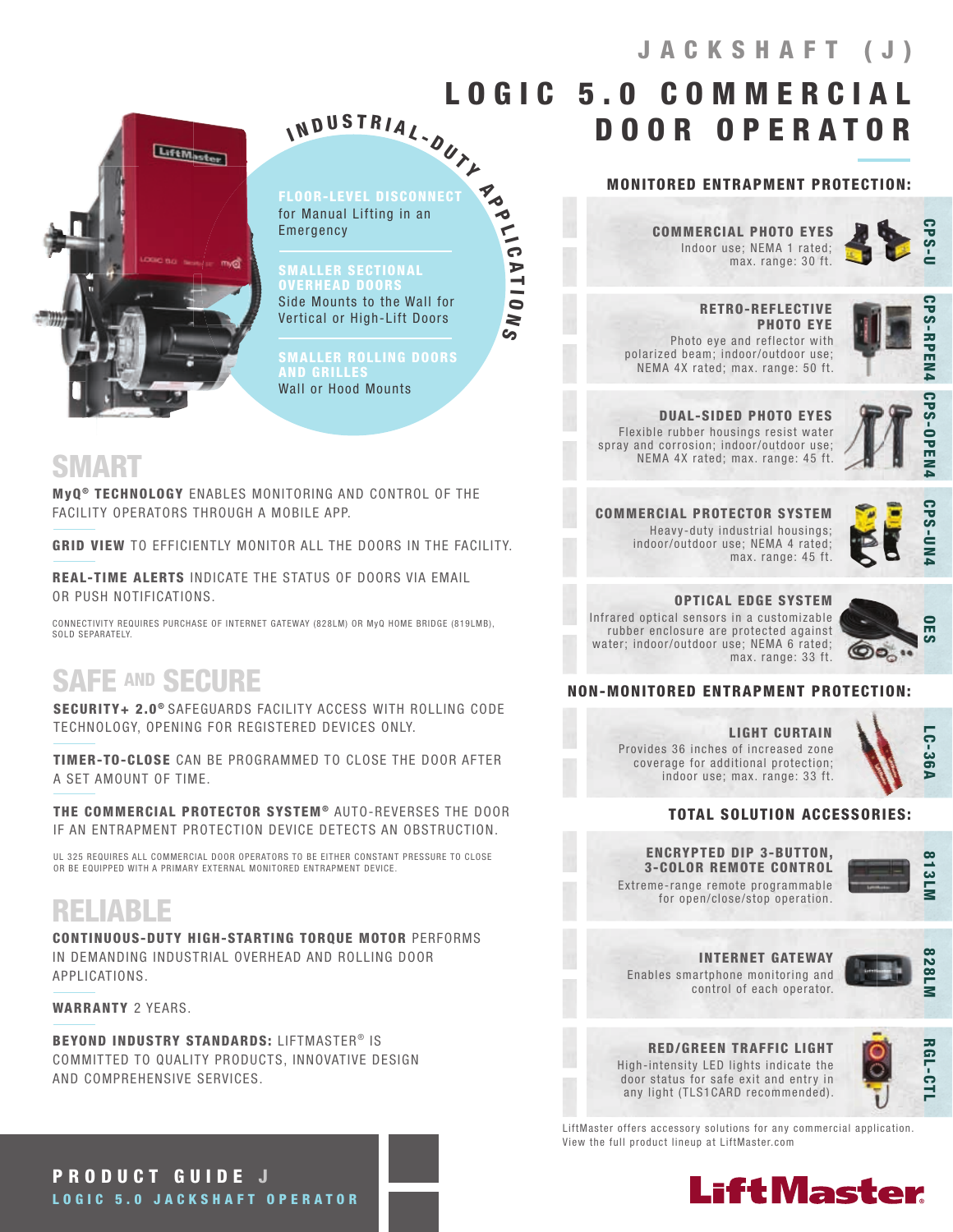

IN D U S T R I A L - DUTL

FLOOR-LEVEL DISCONNECT for Manual Lifting in an Emergency

**Po** 

 $\frac{1}{10}$ 

A T I O

 $\geq$  $\mathbf{S}$ 

SMALLER SECTIONAL **VERHEAD DOOR** Side Mounts to the Wall for Vertical or High-Lift Doors

SMALLER ROLLING DOORS **AND GRILLE** Wall or Hood Mounts

## SMART

MyQ<sup>®</sup> TECHNOLOGY ENABLES MONITORING AND CONTROL OF THE FACILITY OPERATORS THROUGH A MOBILE APP.

GRID VIEW TO EFFICIENTLY MONITOR ALL THE DOORS IN THE FACILITY.

REAL-TIME ALERTS INDICATE THE STATUS OF DOORS VIA EMAIL OR PUSH NOTIFICATIONS.

CONNECTIVITY REQUIRES PURCHASE OF INTERNET GATEWAY (828LM) OR MyQ HOME BRIDGE (819LMB), SOLD SEPARATELY

# SAFE AND SECURE

SECURITY+ 2.0<sup>®</sup> SAFEGUARDS FACILITY ACCESS WITH ROLLING CODE TECHNOLOGY, OPENING FOR REGISTERED DEVICES ONLY.

TIMER-TO-CLOSE CAN BE PROGRAMMED TO CLOSE THE DOOR AFTER A SET AMOUNT OF TIME.

THE COMMERCIAL PROTECTOR SYSTEM® AUTO-REVERSES THE DOOR IF AN ENTRAPMENT PROTECTION DEVICE DETECTS AN OBSTRUCTION.

UL 325 REQUIRES ALL COMMERCIAL DOOR OPERATORS TO BE EITHER CONSTANT PRESSURE TO CLOSE OR BE EQUIPPED WITH A PRIMARY EXTERNAL MONITORED ENTRAPMENT DEVICE.

# RELIABLE

CONTINUOUS-DUTY HIGH-STARTING TORQUE MOTOR PERFORMS IN DEMANDING INDUSTRIAL OVERHEAD AND ROLLING DOOR APPLICATIONS.

WARRANTY 2 YEARS.

BEYOND INDUSTRY STANDARDS: LIFTMASTER<sup>®</sup> IS COMMITTED TO QUALITY PRODUCTS, INNOVATIVE DESIGN AND COMPREHENSIVE SERVICES.

Indoor use; NEMA 1 rated; max. range: 30 ft. COMMERCIAL PHOTO EYES

MONITORED ENTRAPMENT PROTECTION:

DOOR OPERATOR

 $LOGIC<sub>5.0</sub>$  COMMERCI



 RETRO-REFLECTIVE PHOTO EYE Photo eye and reflector with polarized beam; indoor/outdoor use; NEMA 4X rated; max. range: 50 ft.



**CPS-OPEN** 

**CPS-UN** 

DUAL-SIDED PHOTO EYES Flexible rubber housings resist water spray and corrosion; indoor/outdoor use; NEMA 4X rated; max. range: 45 ft.



COMMERCIAL PROTECTOR SYSTEM Heavy-duty industrial housings; indoor/outdoor use; NEMA 4 rated;

OPTICAL EDGE SYSTEM max. range: 45 ft.

Infrared optical sensors in a customizable rubber enclosure are protected against water; indoor/outdoor use; NEMA 6 rated; max. range: 33 ft.



### NON-MONITORED ENTRAPMENT PROTECTION:

LIGHT CURTAIN Provides 36 inches of increased zone coverage for additional protection; indoor use; max. range: 33 ft.



### TOTAL SOLUTION ACCESSORIES:

### ENCRYPTED DIP 3-BUTTON, 3-COLOR REMOTE CONTROL

Extreme-range remote programmable for open/close/stop operation.



Enables smartphone monitoring and control of each operator. INTERNET GATEWAY



RED/GREEN TRAFFIC LIGHT High-intensity LED lights indicate the door status for safe exit and entry in any light (TLS1CARD recommended).



LiftMaster offers accessory solutions for any commercial application. View the full product lineup at LiftMaster.com



PRODUCT GUIDE J LOGIC 5.0 JACKSHAFT OPERATOR